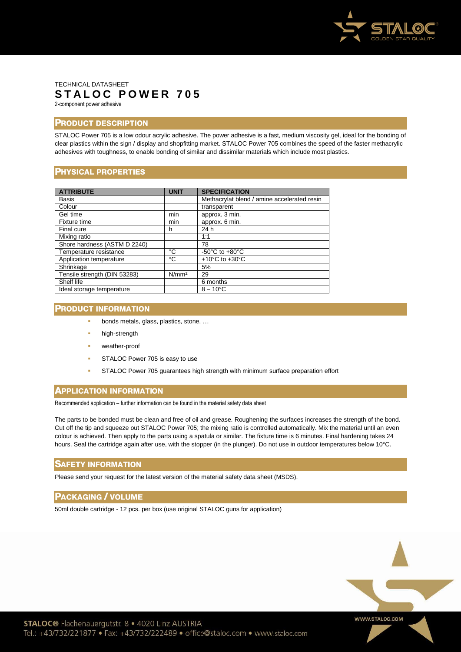

### TECHNICAL DATASHEET **S T A L O C P O W E R 7 0 5** 2-component power adhesive

# **PRODUCT DESCRIPTION**

STALOC Power 705 is a low odour acrylic adhesive. The power adhesive is a fast, medium viscosity gel, ideal for the bonding of clear plastics within the sign / display and shopfitting market. STALOC Power 705 combines the speed of the faster methacrylic adhesives with toughness, to enable bonding of similar and dissimilar materials which include most plastics.

# **PHYSICAL PROPERTIES**

| <b>ATTRIBUTE</b>             | <b>UNIT</b>       | <b>SPECIFICATION</b>                        |
|------------------------------|-------------------|---------------------------------------------|
| <b>Basis</b>                 |                   | Methacrylat blend / amine accelerated resin |
| Colour                       |                   | transparent                                 |
| Gel time                     | min               | approx. 3 min.                              |
| Fixture time                 | min               | approx. 6 min.                              |
| Final cure                   | h                 | 24 h                                        |
| Mixing ratio                 |                   | 1:1                                         |
| Shore hardness (ASTM D 2240) |                   | 78                                          |
| Temperature resistance       | °C                | -50 $^{\circ}$ C to +80 $^{\circ}$ C        |
| Application temperature      | °C                | +10 $^{\circ}$ C to +30 $^{\circ}$ C        |
| Shrinkage                    |                   | 5%                                          |
| Tensile strength (DIN 53283) | N/mm <sup>2</sup> | 29                                          |
| Shelf life                   |                   | 6 months                                    |
| Ideal storage temperature    |                   | $8 - 10^{\circ}$ C                          |

### **PRODUCT INFORMATION**

- bonds metals, glass, plastics, stone, …
- high-strength
- weather-proof
- STALOC Power 705 is easy to use
- STALOC Power 705 guarantees high strength with minimum surface preparation effort

# **APPLICATION INFORMATION**

Recommended application – further information can be found in the material safety data sheet

The parts to be bonded must be clean and free of oil and grease. Roughening the surfaces increases the strength of the bond. Cut off the tip and squeeze out STALOC Power 705; the mixing ratio is controlled automatically. Mix the material until an even colour is achieved. Then apply to the parts using a spatula or similar. The fixture time is 6 minutes. Final hardening takes 24 hours. Seal the cartridge again after use, with the stopper (in the plunger). Do not use in outdoor temperatures below 10°C.

#### **SAFETY INFORMATION**

Please send your request for the latest version of the material safety data sheet (MSDS).

#### **PACKAGING / VOLUME**

50ml double cartridge - 12 pcs. per box (use original STALOC guns for application)